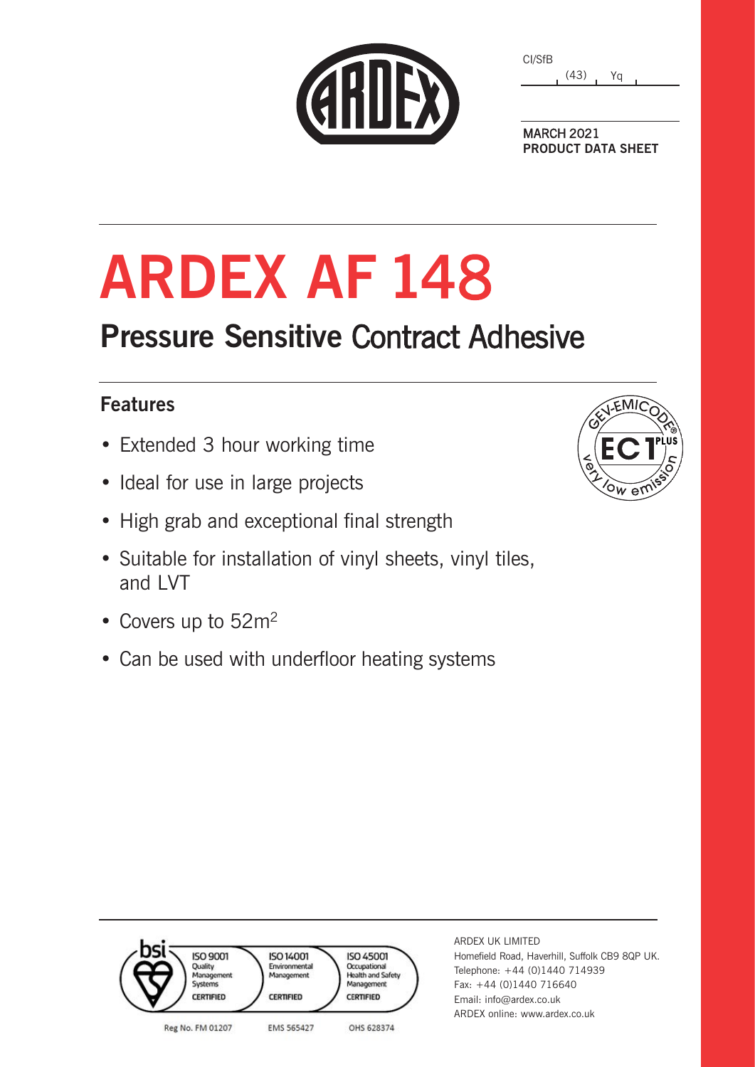|  | GANDE |  |
|--|-------|--|
|  |       |  |

| CI/SfB |      |    |  |
|--------|------|----|--|
|        | (43) | Ya |  |

MARCH 2021 **PRODUCT DATA SHEET**

# **ARDEX AF 14**8

## **Pressure Sensitive** Contract Adhesive

### **Features**

- Extended 3 hour working time
- Ideal for use in large projects
- High grab and exceptional final strength
- Suitable for installation of vinyl sheets, vinyl tiles, and I VT
- Covers up to 52m<sup>2</sup>
- Can be used with underfloor heating systems



| <b>ISO 9001</b><br>Quality<br>Management<br>Systems<br><b>CERTIFIED</b> | <b>ISO 14001</b><br>Environmental<br>Management<br><b>CERTIFIED</b> | <b>ISO 45001</b><br>Occupational<br><b>Health and Safety</b><br>Management<br><b>CERTIFIED</b> | Hor<br>Tele<br>Fax<br>Ema |
|-------------------------------------------------------------------------|---------------------------------------------------------------------|------------------------------------------------------------------------------------------------|---------------------------|
| Reg No. FM 01207                                                        | EMS 565427                                                          | OHS 628374                                                                                     | ARI                       |

DEX UK LIMITED mefield Road, Haverhill, Suffolk CB9 8QP UK. ephone: +44 (0)1440 714939  $44 (0)1440 716640$ ail: info@ardex.co.uk DEX online: www.ardex.co.uk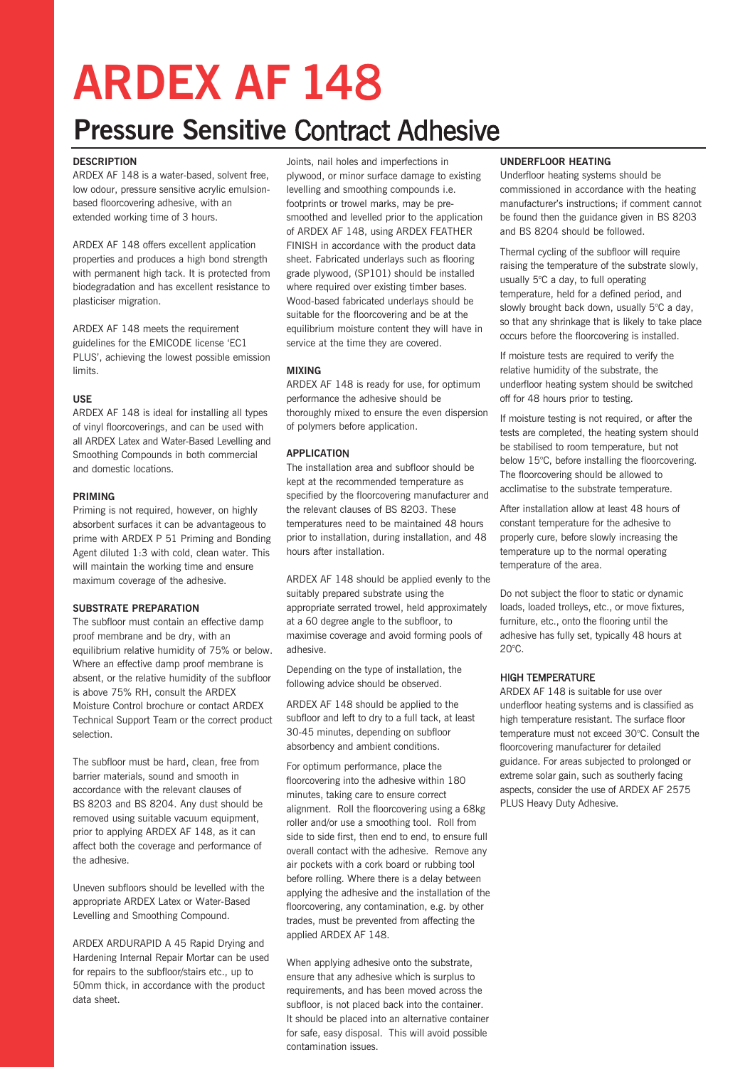## **ARDEX AF 14**8

### **Pressure Sensitive** Contract Adhesive

#### **DESCRIPTION**

ARDEX AF 148 is a water-based, solvent free, low odour, pressure sensitive acrylic emulsionbased floorcovering adhesive, with an extended working time of 3 hours.

ARDEX AF 148 offers excellent application properties and produces a high bond strength with permanent high tack. It is protected from biodegradation and has excellent resistance to plasticiser migration.

ARDEX AF 148 meets the requirement guidelines for the EMICODE license 'EC1 PLUS', achieving the lowest possible emission limits.

#### **USE**

ARDEX AF 148 is ideal for installing all types of vinyl floorcoverings, and can be used with all ARDEX Latex and Water-Based Levelling and Smoothing Compounds in both commercial and domestic locations.

#### **PRIMING**

Priming is not required, however, on highly absorbent surfaces it can be advantageous to prime with ARDEX P 51 Priming and Bonding Agent diluted 1:3 with cold, clean water. This will maintain the working time and ensure maximum coverage of the adhesive.

#### **SUBSTRATE PREPARATION**

The subfloor must contain an effective damp proof membrane and be dry, with an equilibrium relative humidity of 75% or below. Where an effective damp proof membrane is absent, or the relative humidity of the subfloor is above 75% RH, consult the ARDEX Moisture Control brochure or contact ARDEX Technical Support Team or the correct product selection.

The subfloor must be hard, clean, free from barrier materials, sound and smooth in accordance with the relevant clauses of BS 8203 and BS 8204. Any dust should be removed using suitable vacuum equipment, prior to applying ARDEX AF 148, as it can affect both the coverage and performance of the adhesive.

Uneven subfloors should be levelled with the appropriate ARDEX Latex or Water-Based Levelling and Smoothing Compound.

ARDEX ARDURAPID A 45 Rapid Drying and Hardening Internal Repair Mortar can be used for repairs to the subfloor/stairs etc., up to 50mm thick, in accordance with the product data sheet.

Joints, nail holes and imperfections in plywood, or minor surface damage to existing levelling and smoothing compounds i.e. footprints or trowel marks, may be presmoothed and levelled prior to the application of ARDEX AF 148, using ARDEX FEATHER FINISH in accordance with the product data sheet. Fabricated underlays such as flooring grade plywood, (SP101) should be installed where required over existing timber bases. Wood-based fabricated underlays should be suitable for the floorcovering and be at the equilibrium moisture content they will have in service at the time they are covered.

#### **MIXING**

ARDEX AF 148 is ready for use, for optimum performance the adhesive should be thoroughly mixed to ensure the even dispersion of polymers before application.

#### **APPLICATIO**N

The installation area and subfloor should be kept at the recommended temperature as specified by the floorcovering manufacturer and the relevant clauses of BS 8203. These temperatures need to be maintained 48 hours prior to installation, during installation, and 48 hours after installation.

ARDEX AF 148 should be applied evenly to the suitably prepared substrate using the appropriate serrated trowel, held approximately at a 60 degree angle to the subfloor, to maximise coverage and avoid forming pools of adhesive.

Depending on the type of installation, the following advice should be observed.

ARDEX AF 148 should be applied to the subfloor and left to dry to a full tack, at least 30-45 minutes, depending on subfloor absorbency and ambient conditions.

For optimum performance, place the floorcovering into the adhesive within 180 minutes, taking care to ensure correct alignment. Roll the floorcovering using a 68kg roller and/or use a smoothing tool. Roll from side to side first, then end to end, to ensure full overall contact with the adhesive. Remove any air pockets with a cork board or rubbing tool before rolling. Where there is a delay between applying the adhesive and the installation of the floorcovering, any contamination, e.g. by other trades, must be prevented from affecting the applied ARDEX AF 148.

When applying adhesive onto the substrate, ensure that any adhesive which is surplus to requirements, and has been moved across the subfloor, is not placed back into the container. It should be placed into an alternative container for safe, easy disposal. This will avoid possible contamination issues.

#### **UNDERFLOOR HEATING**

Underfloor heating systems should be commissioned in accordance with the heating manufacturer's instructions; if comment cannot be found then the guidance given in BS 8203 and BS 8204 should be followed.

Thermal cycling of the subfloor will require raising the temperature of the substrate slowly, usually 5°C a day, to full operating temperature, held for a defined period, and slowly brought back down, usually 5°C a day, so that any shrinkage that is likely to take place occurs before the floorcovering is installed.

If moisture tests are required to verify the relative humidity of the substrate, the underfloor heating system should be switched off for 48 hours prior to testing.

If moisture testing is not required, or after the tests are completed, the heating system should be stabilised to room temperature, but not below 15°C, before installing the floorcovering. The floorcovering should be allowed to acclimatise to the substrate temperature.

After installation allow at least 48 hours of constant temperature for the adhesive to properly cure, before slowly increasing the temperature up to the normal operating temperature of the area.

Do not subject the floor to static or dynamic loads, loaded trolleys, etc., or move fixtures, furniture, etc., onto the flooring until the adhesive has fully set, typically 48 hours at  $20°C$ 

#### HIGH TEMPERATURE

ARDEX AF 148 is suitable for use over underfloor heating systems and is classified as high temperature resistant. The surface floor temperature must not exceed 30°C. Consult the floorcovering manufacturer for detailed guidance. For areas subjected to prolonged or extreme solar gain, such as southerly facing aspects, consider the use of ARDEX AF 2575 PLUS Heavy Duty Adhesive.